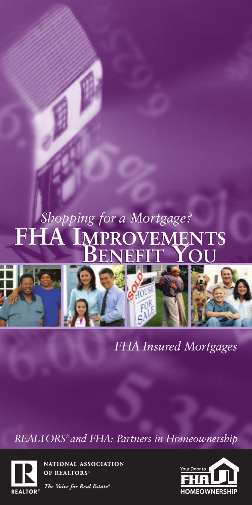# *Shopping for a Mortgage? opping for a Mortgage?* **FHA IMPROVEMENTS BENEFIT YOU FHA IMPROVEMENTS BENEFIT YOU**



*FHA Insured Mortgages*

*REALTORS®and FHA: Partners in Homeownership*



NATIONAL ASSOCIATION OF REALTORS®



The Voice for Real Estate®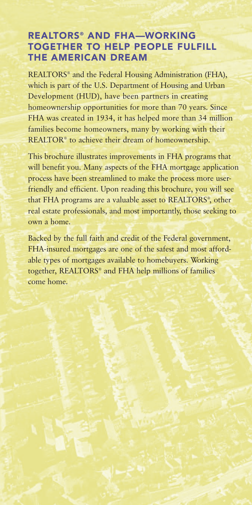### **REALTORS® AND FHA—WORKING TOGETHER TO HELP PEOPLE FULFILL THE AMERICAN DREAM**

REALTORS® and the Federal Housing Administration (FHA), which is part of the U.S. Department of Housing and Urban Development (HUD), have been partners in creating homeownership opportunities for more than 70 years. Since FHA was created in 1934, it has helped more than 34 million families become homeowners, many by working with their REALTOR® to achieve their dream of homeownership.

This brochure illustrates improvements in FHA programs that will benefit you. Many aspects of the FHA mortgage application process have been streamlined to make the process more userfriendly and efficient. Upon reading this brochure, you will see that FHA programs are a valuable asset to REALTORS® , other real estate professionals, and most importantly, those seeking to own a home.

Backed by the full faith and credit of the Federal government, FHA-insured mortgages are one of the safest and most affordable types of mortgages available to homebuyers. Working together, REALTORS® and FHA help millions of families come home.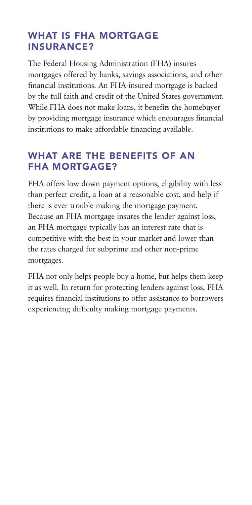### **WHAT IS FHA MORTGAGE INSURANCE?**

The Federal Housing Administration (FHA) insures mortgages offered by banks, savings associations, and other financial institutions. An FHA-insured mortgage is backed by the full faith and credit of the United States government. While FHA does not make loans, it benefits the homebuyer by providing mortgage insurance which encourages financial institutions to make affordable financing available.

### **WHAT ARE THE BENEFITS OF AN FHA MORTGAGE?**

FHA offers low down payment options, eligibility with less than perfect credit, a loan at a reasonable cost, and help if there is ever trouble making the mortgage payment. Because an FHA mortgage insures the lender against loss, an FHA mortgage typically has an interest rate that is competitive with the best in your market and lower than the rates charged for subprime and other non-prime mortgages.

FHA not only helps people buy a home, but helps them keep it as well. In return for protecting lenders against loss, FHA requires financial institutions to offer assistance to borrowers experiencing difficulty making mortgage payments.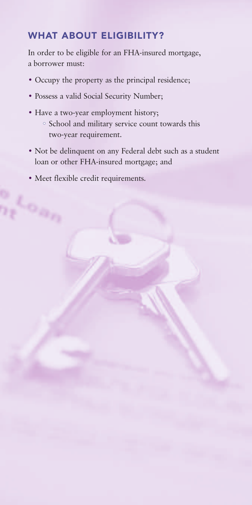## **WHAT ABOUT ELIGIBILITY?**

In order to be eligible for an FHA-insured mortgage, a borrower must:

- Occupy the property as the principal residence;
- Possess a valid Social Security Number;
- Have a two-year employment history; • School and military service count towards this two-year requirement.
- Not be delinquent on any Federal debt such as a student loan or other FHA-insured mortgage; and
- Meet flexible credit requirements.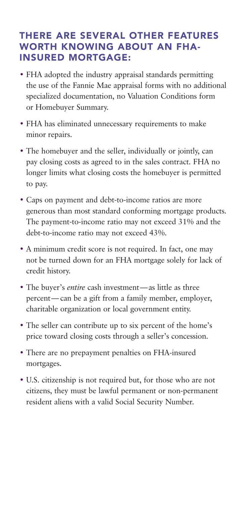### **THERE ARE SEVERAL OTHER FEATURES WORTH KNOWING ABOUT AN FHA-INSURED MORTGAGE:**

- FHA adopted the industry appraisal standards permitting the use of the Fannie Mae appraisal forms with no additional specialized documentation, no Valuation Conditions form or Homebuyer Summary.
- FHA has eliminated unnecessary requirements to make minor repairs.
- The homebuyer and the seller, individually or jointly, can pay closing costs as agreed to in the sales contract. FHA no longer limits what closing costs the homebuyer is permitted to pay.
- Caps on payment and debt-to-income ratios are more generous than most standard conforming mortgage products. The payment-to-income ratio may not exceed 31% and the debt-to-income ratio may not exceed 43%.
- A minimum credit score is not required. In fact, one may not be turned down for an FHA mortgage solely for lack of credit history.
- The buyer's *entire* cash investment—as little as three percent—can be a gift from a family member, employer, charitable organization or local government entity.
- The seller can contribute up to six percent of the home's price toward closing costs through a seller's concession.
- There are no prepayment penalties on FHA-insured mortgages.
- U.S. citizenship is not required but, for those who are not citizens, they must be lawful permanent or non-permanent resident aliens with a valid Social Security Number.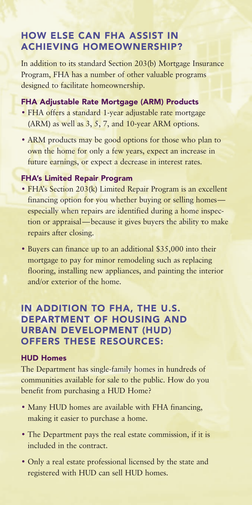### **HOW ELSE CAN FHA ASSIST IN ACHIEVING HOMEOWNERSHIP?**

In addition to its standard Section 203(b) Mortgage Insurance Program, FHA has a number of other valuable programs designed to facilitate homeownership.

#### **FHA Adjustable Rate Mortgage (ARM) Products**

- FHA offers a standard 1-year adjustable rate mortgage (ARM) as well as 3, 5, 7, and 10-year ARM options.
- ARM products may be good options for those who plan to own the home for only a few years, expect an increase in future earnings, or expect a decrease in interest rates.

### **FHA's Limited Repair Program**

- FHA's Section 203(k) Limited Repair Program is an excellent financing option for you whether buying or selling homes especially when repairs are identified during a home inspection or appraisal—because it gives buyers the ability τo make repairs after closing.
- Buyers can finance up to an additional \$35,000 into their mortgage to pay for minor remodeling such as replacing flooring, installing new appliances, and painting the interior and/or exterior of the home.

### **IN ADDITION TO FHA, THE U.S. DEPARTMENT OF HOUSING AND URBAN DEVELOPMENT (HUD) OFFERS THESE RESOURCES:**

#### **HUD Homes**

The Department has single-family homes in hundreds of communities available for sale to the public. How do you benefit from purchasing a HUD Home?

- Many HUD homes are available with FHA financing, making it easier to purchase a home.
- The Department pays the real estate commission, if it is included in the contract.
- Only a real estate professional licensed by the state and registered with HUD can sell HUD homes.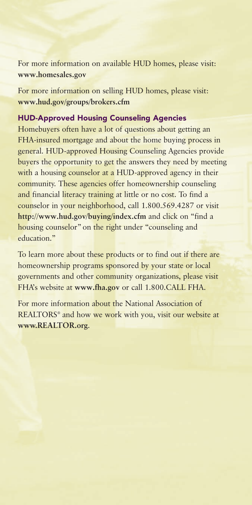For more information on available HUD homes, please visit: **[www.homesales.gov](http://www.homesales.gov)**

For more information on selling HUD homes, please visit: **[www.hud.gov/groups/brokers.cfm](http://www.hud.gov/groups/brokers.cfm)**

#### **HUD-Approved Housing Counseling Agencies**

Homebuyers often have a lot of questions about getting an FHA-insured mortgage and about the home buying process in general. HUD-approved Housing Counseling Agencies provide buyers the opportunity to get the answers they need by meeting with a housing counselor at a HUD-approved agency in their community. These agencies offer homeownership counseling and financial literacy training at little or no cost. To find a counselor in your neighborhood, call 1.800.569.4287 or visit **<http://www.hud.gov/buying/index.cfm>** and click on "find a housing counselor" on the right under "counseling and education."

To learn more about these products or to find out if there are homeownership programs sponsored by your state or local governments and other community organizations, please visit FHA's website at **[www.fha.gov](http://www.fha.gov)** or call 1.800.CALL FHA.

For more information about the National Association of REALTORS<sup>®</sup> and how we work with you, visit our website at **[www.REALTOR.org](http://www.REALTOR.org)**.